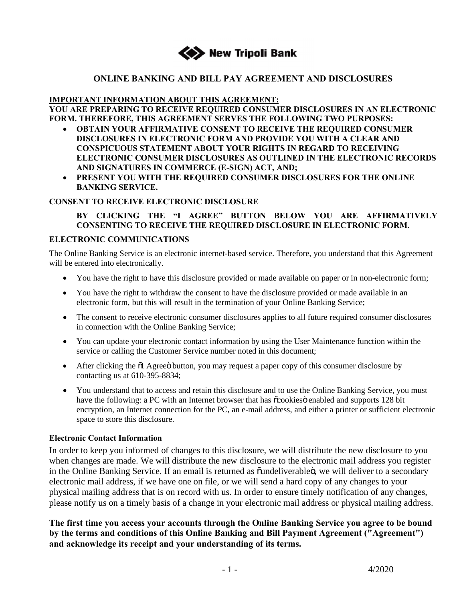

## **ONLINE BANKING AND BILL PAY AGREEMENT AND DISCLOSURES**

### **IMPORTANT INFORMATION ABOUT THIS AGREEMENT:**

**YOU ARE PREPARING TO RECEIVE REQUIRED CONSUMER DISCLOSURES IN AN ELECTRONIC FORM. THEREFORE, THIS AGREEMENT SERVES THE FOLLOWING TWO PURPOSES:** 

- · **OBTAIN YOUR AFFIRMATIVE CONSENT TO RECEIVE THE REQUIRED CONSUMER DISCLOSURES IN ELECTRONIC FORM AND PROVIDE YOU WITH A CLEAR AND CONSPICUOUS STATEMENT ABOUT YOUR RIGHTS IN REGARD TO RECEIVING ELECTRONIC CONSUMER DISCLOSURES AS OUTLINED IN THE ELECTRONIC RECORDS AND SIGNATURES IN COMMERCE (E-SIGN) ACT, AND;**
- · **PRESENT YOU WITH THE REQUIRED CONSUMER DISCLOSURES FOR THE ONLINE BANKING SERVICE.**

#### **CONSENT TO RECEIVE ELECTRONIC DISCLOSURE**

### **BY CLICKING THE "I AGREE" BUTTON BELOW YOU ARE AFFIRMATIVELY CONSENTING TO RECEIVE THE REQUIRED DISCLOSURE IN ELECTRONIC FORM.**

#### **ELECTRONIC COMMUNICATIONS**

The Online Banking Service is an electronic internet-based service. Therefore, you understand that this Agreement will be entered into electronically.

- You have the right to have this disclosure provided or made available on paper or in non-electronic form;
- You have the right to withdraw the consent to have the disclosure provided or made available in an electronic form, but this will result in the termination of your Online Banking Service;
- · The consent to receive electronic consumer disclosures applies to all future required consumer disclosures in connection with the Online Banking Service;
- · You can update your electronic contact information by using the User Maintenance function within the service or calling the Customer Service number noted in this document;
- After clicking the  $\delta I$  Agree button, you may request a paper copy of this consumer disclosure by contacting us at 610-395-8834;
- · You understand that to access and retain this disclosure and to use the Online Banking Service, you must have the following: a PC with an Internet browser that has  $\tilde{c}$ cookies enabled and supports 128 bit encryption, an Internet connection for the PC, an e-mail address, and either a printer or sufficient electronic space to store this disclosure.

#### **Electronic Contact Information**

In order to keep you informed of changes to this disclosure, we will distribute the new disclosure to you when changes are made. We will distribute the new disclosure to the electronic mail address you register in the Online Banking Service. If an email is returned as  $\ddot{\text{o}}$  undeliverable $\ddot{\text{o}}$ , we will deliver to a secondary electronic mail address, if we have one on file, or we will send a hard copy of any changes to your physical mailing address that is on record with us. In order to ensure timely notification of any changes, please notify us on a timely basis of a change in your electronic mail address or physical mailing address.

**The first time you access your accounts through the Online Banking Service you agree to be bound by the terms and conditions of this Online Banking and Bill Payment Agreement ("Agreement") and acknowledge its receipt and your understanding of its terms.**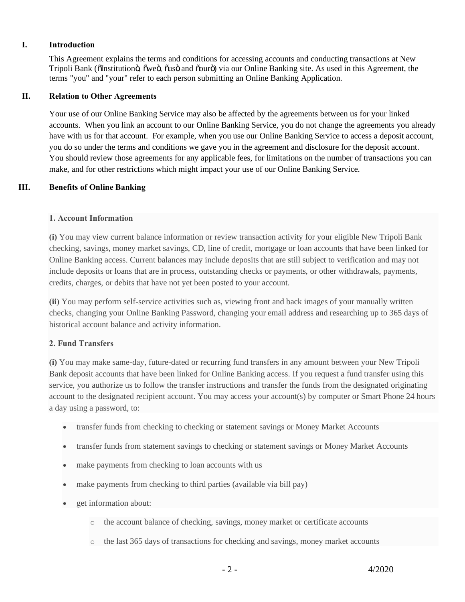### **I. Introduction**

This Agreement explains the terms and conditions for accessing accounts and conducting transactions at New Tripoli Bank (õInstitutionö, õweö, õusö and õourö) via our Online Banking site. As used in this Agreement, the terms "you" and "your" refer to each person submitting an Online Banking Application.

#### **II. Relation to Other Agreements**

Your use of our Online Banking Service may also be affected by the agreements between us for your linked accounts. When you link an account to our Online Banking Service, you do not change the agreements you already have with us for that account. For example, when you use our Online Banking Service to access a deposit account, you do so under the terms and conditions we gave you in the agreement and disclosure for the deposit account. You should review those agreements for any applicable fees, for limitations on the number of transactions you can make, and for other restrictions which might impact your use of our Online Banking Service.

### **III. Benefits of Online Banking**

#### **1. Account Information**

**(i)** You may view current balance information or review transaction activity for your eligible New Tripoli Bank checking, savings, money market savings, CD, line of credit, mortgage or loan accounts that have been linked for Online Banking access. Current balances may include deposits that are still subject to verification and may not include deposits or loans that are in process, outstanding checks or payments, or other withdrawals, payments, credits, charges, or debits that have not yet been posted to your account.

**(ii)** You may perform self-service activities such as, viewing front and back images of your manually written checks, changing your Online Banking Password, changing your email address and researching up to 365 days of historical account balance and activity information.

### **2. Fund Transfers**

**(i)** You may make same-day, future-dated or recurring fund transfers in any amount between your New Tripoli Bank deposit accounts that have been linked for Online Banking access. If you request a fund transfer using this service, you authorize us to follow the transfer instructions and transfer the funds from the designated originating account to the designated recipient account. You may access your account(s) by computer or Smart Phone 24 hours a day using a password, to:

- transfer funds from checking to checking or statement savings or Money Market Accounts
- · transfer funds from statement savings to checking or statement savings or Money Market Accounts
- make payments from checking to loan accounts with us
- make payments from checking to third parties (available via bill pay)
- get information about:
	- o the account balance of checking, savings, money market or certificate accounts
	- o the last 365 days of transactions for checking and savings, money market accounts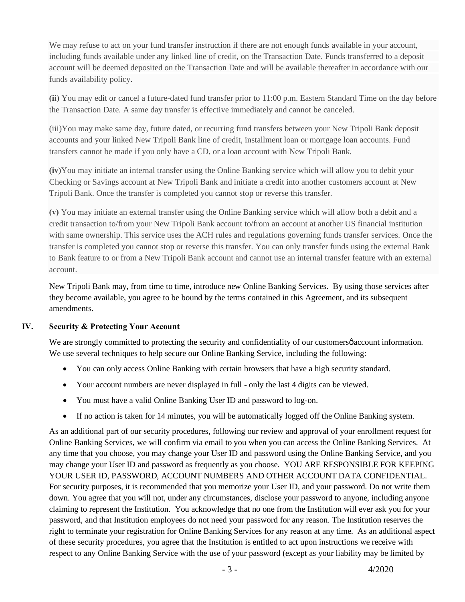We may refuse to act on your fund transfer instruction if there are not enough funds available in your account, including funds available under any linked line of credit, on the Transaction Date. Funds transferred to a deposit account will be deemed deposited on the Transaction Date and will be available thereafter in accordance with our funds availability policy.

**(ii)** You may edit or cancel a future-dated fund transfer prior to 11:00 p.m. Eastern Standard Time on the day before the Transaction Date. A same day transfer is effective immediately and cannot be canceled.

(iii)You may make same day, future dated, or recurring fund transfers between your New Tripoli Bank deposit accounts and your linked New Tripoli Bank line of credit, installment loan or mortgage loan accounts. Fund transfers cannot be made if you only have a CD, or a loan account with New Tripoli Bank.

**(iv)**You may initiate an internal transfer using the Online Banking service which will allow you to debit your Checking or Savings account at New Tripoli Bank and initiate a credit into another customers account at New Tripoli Bank. Once the transfer is completed you cannot stop or reverse this transfer.

**(v)** You may initiate an external transfer using the Online Banking service which will allow both a debit and a credit transaction to/from your New Tripoli Bank account to/from an account at another US financial institution with same ownership. This service uses the ACH rules and regulations governing funds transfer services. Once the transfer is completed you cannot stop or reverse this transfer. You can only transfer funds using the external Bank to Bank feature to or from a New Tripoli Bank account and cannot use an internal transfer feature with an external account.

New Tripoli Bank may, from time to time, introduce new Online Banking Services. By using those services after they become available, you agree to be bound by the terms contained in this Agreement, and its subsequent amendments.

### **IV. Security & Protecting Your Account**

We are strongly committed to protecting the security and confidentiality of our customers paccount information. We use several techniques to help secure our Online Banking Service, including the following:

- · You can only access Online Banking with certain browsers that have a high security standard.
- · Your account numbers are never displayed in full only the last 4 digits can be viewed.
- · You must have a valid Online Banking User ID and password to log-on.
- · If no action is taken for 14 minutes, you will be automatically logged off the Online Banking system.

As an additional part of our security procedures, following our review and approval of your enrollment request for Online Banking Services, we will confirm via email to you when you can access the Online Banking Services. At any time that you choose, you may change your User ID and password using the Online Banking Service, and you may change your User ID and password as frequently as you choose. YOU ARE RESPONSIBLE FOR KEEPING YOUR USER ID, PASSWORD, ACCOUNT NUMBERS AND OTHER ACCOUNT DATA CONFIDENTIAL. For security purposes, it is recommended that you memorize your User ID, and your password. Do not write them down. You agree that you will not, under any circumstances, disclose your password to anyone, including anyone claiming to represent the Institution. You acknowledge that no one from the Institution will ever ask you for your password, and that Institution employees do not need your password for any reason. The Institution reserves the right to terminate your registration for Online Banking Services for any reason at any time. As an additional aspect of these security procedures, you agree that the Institution is entitled to act upon instructions we receive with respect to any Online Banking Service with the use of your password (except as your liability may be limited by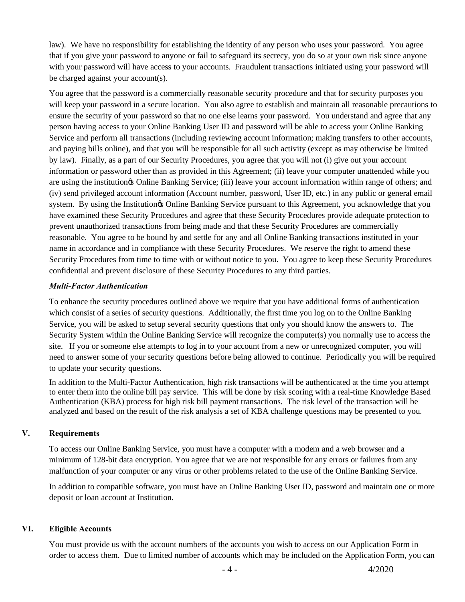law). We have no responsibility for establishing the identity of any person who uses your password. You agree that if you give your password to anyone or fail to safeguard its secrecy, you do so at your own risk since anyone with your password will have access to your accounts. Fraudulent transactions initiated using your password will be charged against your account(s).

You agree that the password is a commercially reasonable security procedure and that for security purposes you will keep your password in a secure location. You also agree to establish and maintain all reasonable precautions to ensure the security of your password so that no one else learns your password. You understand and agree that any person having access to your Online Banking User ID and password will be able to access your Online Banking Service and perform all transactions (including reviewing account information; making transfers to other accounts, and paying bills online), and that you will be responsible for all such activity (except as may otherwise be limited by law). Finally, as a part of our Security Procedures, you agree that you will not (i) give out your account information or password other than as provided in this Agreement; (ii) leave your computer unattended while you are using the institution's Online Banking Service; (iii) leave your account information within range of others; and (iv) send privileged account information (Account number, password, User ID, etc.) in any public or general email system. By using the Institution of Online Banking Service pursuant to this Agreement, you acknowledge that you have examined these Security Procedures and agree that these Security Procedures provide adequate protection to prevent unauthorized transactions from being made and that these Security Procedures are commercially reasonable. You agree to be bound by and settle for any and all Online Banking transactions instituted in your name in accordance and in compliance with these Security Procedures. We reserve the right to amend these Security Procedures from time to time with or without notice to you. You agree to keep these Security Procedures confidential and prevent disclosure of these Security Procedures to any third parties.

### *Multi-Factor Authentication*

To enhance the security procedures outlined above we require that you have additional forms of authentication which consist of a series of security questions. Additionally, the first time you log on to the Online Banking Service, you will be asked to setup several security questions that only you should know the answers to. The Security System within the Online Banking Service will recognize the computer(s) you normally use to access the site. If you or someone else attempts to log in to your account from a new or unrecognized computer, you will need to answer some of your security questions before being allowed to continue. Periodically you will be required to update your security questions.

In addition to the Multi-Factor Authentication, high risk transactions will be authenticated at the time you attempt to enter them into the online bill pay service. This will be done by risk scoring with a real-time Knowledge Based Authentication (KBA) process for high risk bill payment transactions. The risk level of the transaction will be analyzed and based on the result of the risk analysis a set of KBA challenge questions may be presented to you.

### **V. Requirements**

To access our Online Banking Service, you must have a computer with a modem and a web browser and a minimum of 128-bit data encryption. You agree that we are not responsible for any errors or failures from any malfunction of your computer or any virus or other problems related to the use of the Online Banking Service.

In addition to compatible software, you must have an Online Banking User ID, password and maintain one or more deposit or loan account at Institution.

### **VI. Eligible Accounts**

You must provide us with the account numbers of the accounts you wish to access on our Application Form in order to access them. Due to limited number of accounts which may be included on the Application Form, you can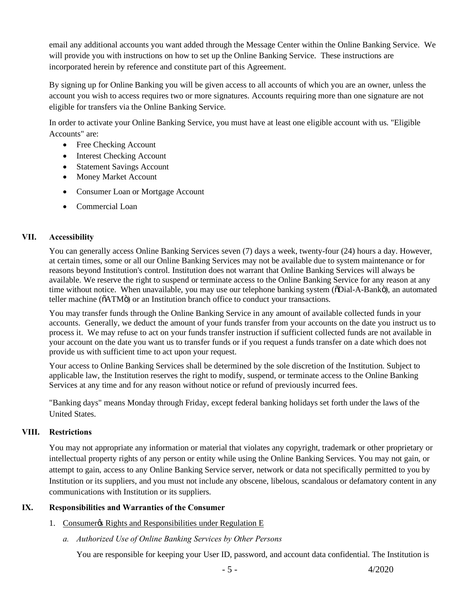email any additional accounts you want added through the Message Center within the Online Banking Service. We will provide you with instructions on how to set up the Online Banking Service. These instructions are incorporated herein by reference and constitute part of this Agreement.

By signing up for Online Banking you will be given access to all accounts of which you are an owner, unless the account you wish to access requires two or more signatures. Accounts requiring more than one signature are not eligible for transfers via the Online Banking Service.

In order to activate your Online Banking Service, you must have at least one eligible account with us. "Eligible Accounts" are:

- Free Checking Account
- Interest Checking Account
- Statement Savings Account
- Money Market Account
- · Consumer Loan or Mortgage Account
- · Commercial Loan

### **VII. Accessibility**

You can generally access Online Banking Services seven (7) days a week, twenty-four (24) hours a day. However, at certain times, some or all our Online Banking Services may not be available due to system maintenance or for reasons beyond Institution's control. Institution does not warrant that Online Banking Services will always be available. We reserve the right to suspend or terminate access to the Online Banking Service for any reason at any time without notice. When unavailable, you may use our telephone banking system ( $\delta$ Dial-A-Bank $\ddot{o}$ ), an automated teller machine ( $\delta$ ATM $\ddot{o}$ ) or an Institution branch office to conduct your transactions.

You may transfer funds through the Online Banking Service in any amount of available collected funds in your accounts. Generally, we deduct the amount of your funds transfer from your accounts on the date you instruct us to process it. We may refuse to act on your funds transfer instruction if sufficient collected funds are not available in your account on the date you want us to transfer funds or if you request a funds transfer on a date which does not provide us with sufficient time to act upon your request.

Your access to Online Banking Services shall be determined by the sole discretion of the Institution. Subject to applicable law, the Institution reserves the right to modify, suspend, or terminate access to the Online Banking Services at any time and for any reason without notice or refund of previously incurred fees.

"Banking days" means Monday through Friday, except federal banking holidays set forth under the laws of the United States.

### **VIII. Restrictions**

You may not appropriate any information or material that violates any copyright, trademark or other proprietary or intellectual property rights of any person or entity while using the Online Banking Services. You may not gain, or attempt to gain, access to any Online Banking Service server, network or data not specifically permitted to you by Institution or its suppliers, and you must not include any obscene, libelous, scandalous or defamatory content in any communications with Institution or its suppliers.

### **IX. Responsibilities and Warranties of the Consumer**

- 1. Consumer & Rights and Responsibilities under Regulation E
	- *a. Authorized Use of Online Banking Services by Other Persons*

You are responsible for keeping your User ID, password, and account data confidential. The Institution is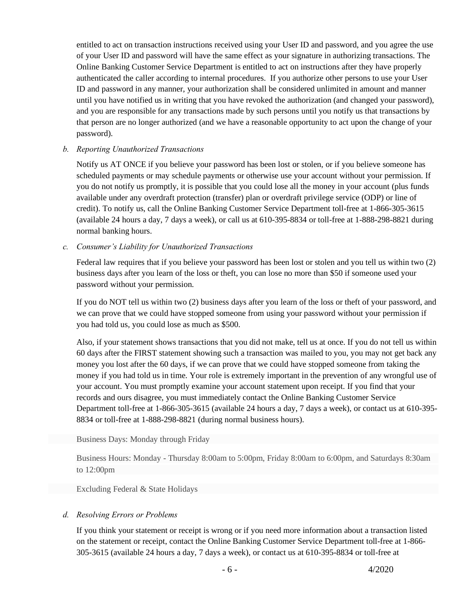entitled to act on transaction instructions received using your User ID and password, and you agree the use of your User ID and password will have the same effect as your signature in authorizing transactions. The Online Banking Customer Service Department is entitled to act on instructions after they have properly authenticated the caller according to internal procedures. If you authorize other persons to use your User ID and password in any manner, your authorization shall be considered unlimited in amount and manner until you have notified us in writing that you have revoked the authorization (and changed your password), and you are responsible for any transactions made by such persons until you notify us that transactions by that person are no longer authorized (and we have a reasonable opportunity to act upon the change of your password).

### *b. Reporting Unauthorized Transactions*

Notify us AT ONCE if you believe your password has been lost or stolen, or if you believe someone has scheduled payments or may schedule payments or otherwise use your account without your permission. If you do not notify us promptly, it is possible that you could lose all the money in your account (plus funds available under any overdraft protection (transfer) plan or overdraft privilege service (ODP) or line of credit). To notify us, call the Online Banking Customer Service Department toll-free at 1-866-305-3615 (available 24 hours a day, 7 days a week), or call us at 610-395-8834 or toll-free at 1-888-298-8821 during normal banking hours.

### *c. Consumer's Liability for Unauthorized Transactions*

Federal law requires that if you believe your password has been lost or stolen and you tell us within two (2) business days after you learn of the loss or theft, you can lose no more than \$50 if someone used your password without your permission.

If you do NOT tell us within two (2) business days after you learn of the loss or theft of your password, and we can prove that we could have stopped someone from using your password without your permission if you had told us, you could lose as much as \$500.

Also, if your statement shows transactions that you did not make, tell us at once. If you do not tell us within 60 days after the FIRST statement showing such a transaction was mailed to you, you may not get back any money you lost after the 60 days, if we can prove that we could have stopped someone from taking the money if you had told us in time. Your role is extremely important in the prevention of any wrongful use of your account. You must promptly examine your account statement upon receipt. If you find that your records and ours disagree, you must immediately contact the Online Banking Customer Service Department toll-free at 1-866-305-3615 (available 24 hours a day, 7 days a week), or contact us at 610-395- 8834 or toll-free at 1-888-298-8821 (during normal business hours).

#### Business Days: Monday through Friday

Business Hours: Monday - Thursday 8:00am to 5:00pm, Friday 8:00am to 6:00pm, and Saturdays 8:30am to 12:00pm

Excluding Federal & State Holidays

### *d. Resolving Errors or Problems*

If you think your statement or receipt is wrong or if you need more information about a transaction listed on the statement or receipt, contact the Online Banking Customer Service Department toll-free at 1-866- 305-3615 (available 24 hours a day, 7 days a week), or contact us at 610-395-8834 or toll-free at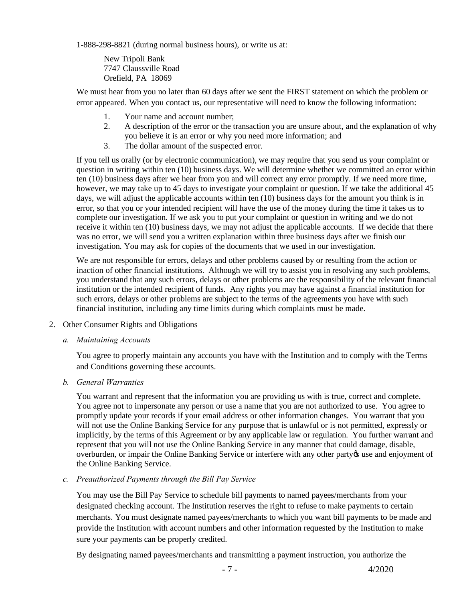1-888-298-8821 (during normal business hours), or write us at:

New Tripoli Bank 7747 Claussville Road Orefield, PA 18069

We must hear from you no later than 60 days after we sent the FIRST statement on which the problem or error appeared. When you contact us, our representative will need to know the following information:

- 1. Your name and account number;
- 2. A description of the error or the transaction you are unsure about, and the explanation of why you believe it is an error or why you need more information; and
- 3. The dollar amount of the suspected error.

If you tell us orally (or by electronic communication), we may require that you send us your complaint or question in writing within ten (10) business days. We will determine whether we committed an error within ten (10) business days after we hear from you and will correct any error promptly. If we need more time, however, we may take up to 45 days to investigate your complaint or question. If we take the additional 45 days, we will adjust the applicable accounts within ten (10) business days for the amount you think is in error, so that you or your intended recipient will have the use of the money during the time it takes us to complete our investigation. If we ask you to put your complaint or question in writing and we do not receive it within ten (10) business days, we may not adjust the applicable accounts. If we decide that there was no error, we will send you a written explanation within three business days after we finish our investigation. You may ask for copies of the documents that we used in our investigation.

We are not responsible for errors, delays and other problems caused by or resulting from the action or inaction of other financial institutions. Although we will try to assist you in resolving any such problems, you understand that any such errors, delays or other problems are the responsibility of the relevant financial institution or the intended recipient of funds. Any rights you may have against a financial institution for such errors, delays or other problems are subject to the terms of the agreements you have with such financial institution, including any time limits during which complaints must be made.

#### 2. Other Consumer Rights and Obligations

*a. Maintaining Accounts* 

You agree to properly maintain any accounts you have with the Institution and to comply with the Terms and Conditions governing these accounts.

*b. General Warranties*

You warrant and represent that the information you are providing us with is true, correct and complete. You agree not to impersonate any person or use a name that you are not authorized to use. You agree to promptly update your records if your email address or other information changes. You warrant that you will not use the Online Banking Service for any purpose that is unlawful or is not permitted, expressly or implicitly, by the terms of this Agreement or by any applicable law or regulation. You further warrant and represent that you will not use the Online Banking Service in any manner that could damage, disable, overburden, or impair the Online Banking Service or interfere with any other party to use and enjoyment of the Online Banking Service.

*c. Preauthorized Payments through the Bill Pay Service*

You may use the Bill Pay Service to schedule bill payments to named payees/merchants from your designated checking account. The Institution reserves the right to refuse to make payments to certain merchants. You must designate named payees/merchants to which you want bill payments to be made and provide the Institution with account numbers and other information requested by the Institution to make sure your payments can be properly credited.

By designating named payees/merchants and transmitting a payment instruction, you authorize the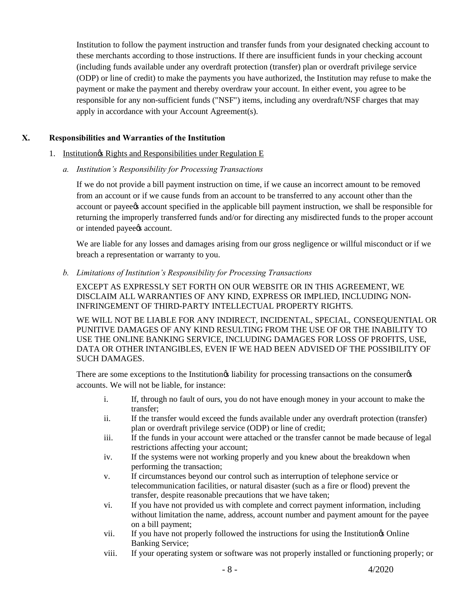Institution to follow the payment instruction and transfer funds from your designated checking account to these merchants according to those instructions. If there are insufficient funds in your checking account (including funds available under any overdraft protection (transfer) plan or overdraft privilege service (ODP) or line of credit) to make the payments you have authorized, the Institution may refuse to make the payment or make the payment and thereby overdraw your account. In either event, you agree to be responsible for any non-sufficient funds ("NSF") items, including any overdraft/NSF charges that may apply in accordance with your Account Agreement(s).

### **X. Responsibilities and Warranties of the Institution**

- 1. Institutiongs Rights and Responsibilities under Regulation E
	- *a. Institution's Responsibility for Processing Transactions*

If we do not provide a bill payment instruction on time, if we cause an incorrect amount to be removed from an account or if we cause funds from an account to be transferred to any account other than the account or payee's account specified in the applicable bill payment instruction, we shall be responsible for returning the improperly transferred funds and/or for directing any misdirected funds to the proper account or intended payee<sub>/8</sub> account.

We are liable for any losses and damages arising from our gross negligence or willful misconduct or if we breach a representation or warranty to you.

*b. Limitations of Institution's Responsibility for Processing Transactions* 

EXCEPT AS EXPRESSLY SET FORTH ON OUR WEBSITE OR IN THIS AGREEMENT, WE DISCLAIM ALL WARRANTIES OF ANY KIND, EXPRESS OR IMPLIED, INCLUDING NON-INFRINGEMENT OF THIRD-PARTY INTELLECTUAL PROPERTY RIGHTS.

WE WILL NOT BE LIABLE FOR ANY INDIRECT, INCIDENTAL, SPECIAL, CONSEQUENTIAL OR PUNITIVE DAMAGES OF ANY KIND RESULTING FROM THE USE OF OR THE INABILITY TO USE THE ONLINE BANKING SERVICE, INCLUDING DAMAGES FOR LOSS OF PROFITS, USE, DATA OR OTHER INTANGIBLES, EVEN IF WE HAD BEEN ADVISED OF THE POSSIBILITY OF SUCH DAMAGES.

There are some exceptions to the Institution is liability for processing transactions on the consumer  $\alpha$ accounts. We will not be liable, for instance:

- i. If, through no fault of ours, you do not have enough money in your account to make the transfer;
- ii. If the transfer would exceed the funds available under any overdraft protection (transfer) plan or overdraft privilege service (ODP) or line of credit;
- iii. If the funds in your account were attached or the transfer cannot be made because of legal restrictions affecting your account;
- iv. If the systems were not working properly and you knew about the breakdown when performing the transaction;
- v. If circumstances beyond our control such as interruption of telephone service or telecommunication facilities, or natural disaster (such as a fire or flood) prevent the transfer, despite reasonable precautions that we have taken;
- vi. If you have not provided us with complete and correct payment information, including without limitation the name, address, account number and payment amount for the payee on a bill payment;
- vii. If you have not properly followed the instructions for using the Institution's Online Banking Service;
- viii. If your operating system or software was not properly installed or functioning properly; or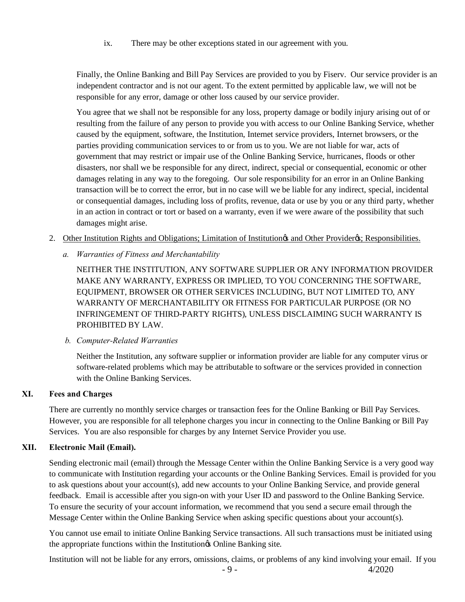ix. There may be other exceptions stated in our agreement with you.

Finally, the Online Banking and Bill Pay Services are provided to you by Fiserv. Our service provider is an independent contractor and is not our agent. To the extent permitted by applicable law, we will not be responsible for any error, damage or other loss caused by our service provider.

You agree that we shall not be responsible for any loss, property damage or bodily injury arising out of or resulting from the failure of any person to provide you with access to our Online Banking Service, whether caused by the equipment, software, the Institution, Internet service providers, Internet browsers, or the parties providing communication services to or from us to you. We are not liable for war, acts of government that may restrict or impair use of the Online Banking Service, hurricanes, floods or other disasters, nor shall we be responsible for any direct, indirect, special or consequential, economic or other damages relating in any way to the foregoing. Our sole responsibility for an error in an Online Banking transaction will be to correct the error, but in no case will we be liable for any indirect, special, incidental or consequential damages, including loss of profits, revenue, data or use by you or any third party, whether in an action in contract or tort or based on a warranty, even if we were aware of the possibility that such damages might arise.

- 2. Other Institution Rights and Obligations; Limitation of Institution & and Other Provider &; Responsibilities.
	- *a. Warranties of Fitness and Merchantability*

NEITHER THE INSTITUTION, ANY SOFTWARE SUPPLIER OR ANY INFORMATION PROVIDER MAKE ANY WARRANTY, EXPRESS OR IMPLIED, TO YOU CONCERNING THE SOFTWARE, EQUIPMENT, BROWSER OR OTHER SERVICES INCLUDING, BUT NOT LIMITED TO, ANY WARRANTY OF MERCHANTABILITY OR FITNESS FOR PARTICULAR PURPOSE (OR NO INFRINGEMENT OF THIRD-PARTY RIGHTS), UNLESS DISCLAIMING SUCH WARRANTY IS PROHIBITED BY LAW.

#### *b. Computer-Related Warranties*

Neither the Institution, any software supplier or information provider are liable for any computer virus or software-related problems which may be attributable to software or the services provided in connection with the Online Banking Services.

#### **XI. Fees and Charges**

There are currently no monthly service charges or transaction fees for the Online Banking or Bill Pay Services. However, you are responsible for all telephone charges you incur in connecting to the Online Banking or Bill Pay Services. You are also responsible for charges by any Internet Service Provider you use.

### **XII. Electronic Mail (Email).**

Sending electronic mail (email) through the Message Center within the Online Banking Service is a very good way to communicate with Institution regarding your accounts or the Online Banking Services. Email is provided for you to ask questions about your account(s), add new accounts to your Online Banking Service, and provide general feedback. Email is accessible after you sign-on with your User ID and password to the Online Banking Service. To ensure the security of your account information, we recommend that you send a secure email through the Message Center within the Online Banking Service when asking specific questions about your account(s).

You cannot use email to initiate Online Banking Service transactions. All such transactions must be initiated using the appropriate functions within the Institution<sub>of</sub> Online Banking site.

Institution will not be liable for any errors, omissions, claims, or problems of any kind involving your email. If you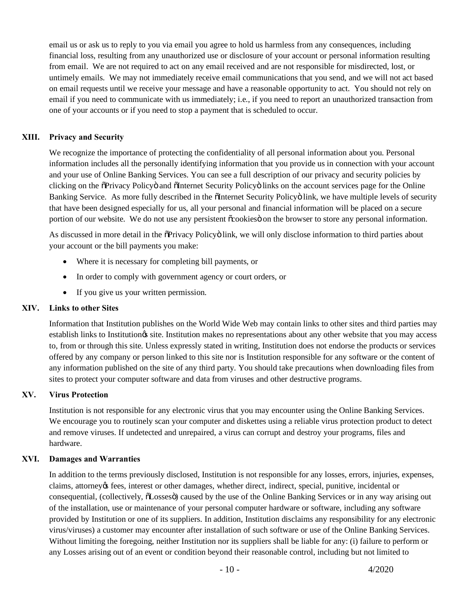email us or ask us to reply to you via email you agree to hold us harmless from any consequences, including financial loss, resulting from any unauthorized use or disclosure of your account or personal information resulting from email. We are not required to act on any email received and are not responsible for misdirected, lost, or untimely emails. We may not immediately receive email communications that you send, and we will not act based on email requests until we receive your message and have a reasonable opportunity to act. You should not rely on email if you need to communicate with us immediately; i.e., if you need to report an unauthorized transaction from one of your accounts or if you need to stop a payment that is scheduled to occur.

### **XIII. Privacy and Security**

We recognize the importance of protecting the confidentiality of all personal information about you. Personal information includes all the personally identifying information that you provide us in connection with your account and your use of Online Banking Services. You can see a full description of our privacy and security policies by clicking on the  $\delta$ Privacy Policy $\ddot{o}$  and  $\delta$ Internet Security Policy $\ddot{o}$  links on the account services page for the Online Banking Service. As more fully described in the  $\delta$ Internet Security Policy oilnk, we have multiple levels of security that have been designed especially for us, all your personal and financial information will be placed on a secure portion of our website. We do not use any persistent  $\tilde{\in}$  cookies on the browser to store any personal information.

As discussed in more detail in the  $\delta$ Privacy Policy $\ddot{o}$  link, we will only disclose information to third parties about your account or the bill payments you make:

- Where it is necessary for completing bill payments, or
- In order to comply with government agency or court orders, or
- If you give us your written permission.

### **XIV. Links to other Sites**

Information that Institution publishes on the World Wide Web may contain links to other sites and third parties may establish links to Institution $\alpha$  site. Institution makes no representations about any other website that you may access to, from or through this site. Unless expressly stated in writing, Institution does not endorse the products or services offered by any company or person linked to this site nor is Institution responsible for any software or the content of any information published on the site of any third party. You should take precautions when downloading files from sites to protect your computer software and data from viruses and other destructive programs.

### **XV. Virus Protection**

Institution is not responsible for any electronic virus that you may encounter using the Online Banking Services. We encourage you to routinely scan your computer and diskettes using a reliable virus protection product to detect and remove viruses. If undetected and unrepaired, a virus can corrupt and destroy your programs, files and hardware.

#### **XVI. Damages and Warranties**

In addition to the terms previously disclosed, Institution is not responsible for any losses, errors, injuries, expenses, claims, attorney's fees, interest or other damages, whether direct, indirect, special, punitive, incidental or consequential, (collectively,  $\tilde{o}$ Losses $\tilde{o}$ ) caused by the use of the Online Banking Services or in any way arising out of the installation, use or maintenance of your personal computer hardware or software, including any software provided by Institution or one of its suppliers. In addition, Institution disclaims any responsibility for any electronic virus/viruses) a customer may encounter after installation of such software or use of the Online Banking Services. Without limiting the foregoing, neither Institution nor its suppliers shall be liable for any: (i) failure to perform or any Losses arising out of an event or condition beyond their reasonable control, including but not limited to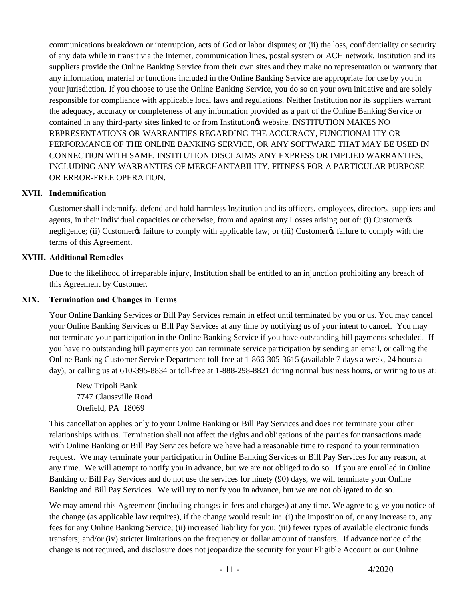communications breakdown or interruption, acts of God or labor disputes; or (ii) the loss, confidentiality or security of any data while in transit via the Internet, communication lines, postal system or ACH network. Institution and its suppliers provide the Online Banking Service from their own sites and they make no representation or warranty that any information, material or functions included in the Online Banking Service are appropriate for use by you in your jurisdiction. If you choose to use the Online Banking Service, you do so on your own initiative and are solely responsible for compliance with applicable local laws and regulations. Neither Institution nor its suppliers warrant the adequacy, accuracy or completeness of any information provided as a part of the Online Banking Service or contained in any third-party sites linked to or from Institution & website. INSTITUTION MAKES NO REPRESENTATIONS OR WARRANTIES REGARDING THE ACCURACY, FUNCTIONALITY OR PERFORMANCE OF THE ONLINE BANKING SERVICE, OR ANY SOFTWARE THAT MAY BE USED IN CONNECTION WITH SAME. INSTITUTION DISCLAIMS ANY EXPRESS OR IMPLIED WARRANTIES, INCLUDING ANY WARRANTIES OF MERCHANTABILITY, FITNESS FOR A PARTICULAR PURPOSE OR ERROR-FREE OPERATION.

### **XVII. Indemnification**

Customer shall indemnify, defend and hold harmless Institution and its officers, employees, directors, suppliers and agents, in their individual capacities or otherwise, from and against any Losses arising out of: (i) Customergs negligence; (ii) Customer os failure to comply with applicable law; or (iii) Customer is failure to comply with the terms of this Agreement.

### **XVIII. Additional Remedies**

Due to the likelihood of irreparable injury, Institution shall be entitled to an injunction prohibiting any breach of this Agreement by Customer.

#### **XIX. Termination and Changes in Terms**

Your Online Banking Services or Bill Pay Services remain in effect until terminated by you or us. You may cancel your Online Banking Services or Bill Pay Services at any time by notifying us of your intent to cancel. You may not terminate your participation in the Online Banking Service if you have outstanding bill payments scheduled. If you have no outstanding bill payments you can terminate service participation by sending an email, or calling the Online Banking Customer Service Department toll-free at 1-866-305-3615 (available 7 days a week, 24 hours a day), or calling us at 610-395-8834 or toll-free at 1-888-298-8821 during normal business hours, or writing to us at:

New Tripoli Bank 7747 Claussville Road Orefield, PA 18069

This cancellation applies only to your Online Banking or Bill Pay Services and does not terminate your other relationships with us. Termination shall not affect the rights and obligations of the parties for transactions made with Online Banking or Bill Pay Services before we have had a reasonable time to respond to your termination request. We may terminate your participation in Online Banking Services or Bill Pay Services for any reason, at any time. We will attempt to notify you in advance, but we are not obliged to do so. If you are enrolled in Online Banking or Bill Pay Services and do not use the services for ninety (90) days, we will terminate your Online Banking and Bill Pay Services. We will try to notify you in advance, but we are not obligated to do so.

We may amend this Agreement (including changes in fees and charges) at any time. We agree to give you notice of the change (as applicable law requires), if the change would result in: (i) the imposition of, or any increase to, any fees for any Online Banking Service; (ii) increased liability for you; (iii) fewer types of available electronic funds transfers; and/or (iv) stricter limitations on the frequency or dollar amount of transfers. If advance notice of the change is not required, and disclosure does not jeopardize the security for your Eligible Account or our Online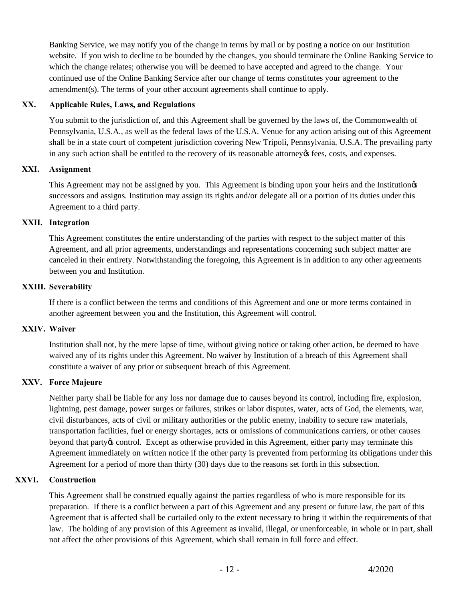Banking Service, we may notify you of the change in terms by mail or by posting a notice on our Institution website. If you wish to decline to be bounded by the changes, you should terminate the Online Banking Service to which the change relates; otherwise you will be deemed to have accepted and agreed to the change. Your continued use of the Online Banking Service after our change of terms constitutes your agreement to the amendment(s). The terms of your other account agreements shall continue to apply.

### **XX. Applicable Rules, Laws, and Regulations**

You submit to the jurisdiction of, and this Agreement shall be governed by the laws of, the Commonwealth of Pennsylvania, U.S.A., as well as the federal laws of the U.S.A. Venue for any action arising out of this Agreement shall be in a state court of competent jurisdiction covering New Tripoli, Pennsylvania, U.S.A. The prevailing party in any such action shall be entitled to the recovery of its reasonable attorney  $\alpha$  fees, costs, and expenses.

### **XXI. Assignment**

This Agreement may not be assigned by you. This Agreement is binding upon your heirs and the Institution  $\alpha$ successors and assigns. Institution may assign its rights and/or delegate all or a portion of its duties under this Agreement to a third party.

### **XXII. Integration**

This Agreement constitutes the entire understanding of the parties with respect to the subject matter of this Agreement, and all prior agreements, understandings and representations concerning such subject matter are canceled in their entirety. Notwithstanding the foregoing, this Agreement is in addition to any other agreements between you and Institution.

### **XXIII. Severability**

If there is a conflict between the terms and conditions of this Agreement and one or more terms contained in another agreement between you and the Institution, this Agreement will control.

#### **XXIV. Waiver**

Institution shall not, by the mere lapse of time, without giving notice or taking other action, be deemed to have waived any of its rights under this Agreement. No waiver by Institution of a breach of this Agreement shall constitute a waiver of any prior or subsequent breach of this Agreement.

### **XXV. Force Majeure**

Neither party shall be liable for any loss nor damage due to causes beyond its control, including fire, explosion, lightning, pest damage, power surges or failures, strikes or labor disputes, water, acts of God, the elements, war, civil disturbances, acts of civil or military authorities or the public enemy, inability to secure raw materials, transportation facilities, fuel or energy shortages, acts or omissions of communications carriers, or other causes beyond that party os control. Except as otherwise provided in this Agreement, either party may terminate this Agreement immediately on written notice if the other party is prevented from performing its obligations under this Agreement for a period of more than thirty (30) days due to the reasons set forth in this subsection.

### **XXVI. Construction**

This Agreement shall be construed equally against the parties regardless of who is more responsible for its preparation. If there is a conflict between a part of this Agreement and any present or future law, the part of this Agreement that is affected shall be curtailed only to the extent necessary to bring it within the requirements of that law. The holding of any provision of this Agreement as invalid, illegal, or unenforceable, in whole or in part, shall not affect the other provisions of this Agreement, which shall remain in full force and effect.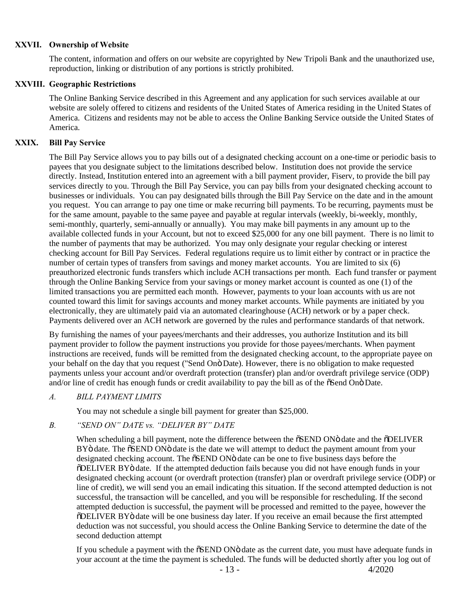#### **XXVII. Ownership of Website**

The content, information and offers on our website are copyrighted by New Tripoli Bank and the unauthorized use, reproduction, linking or distribution of any portions is strictly prohibited.

### **XXVIII. Geographic Restrictions**

The Online Banking Service described in this Agreement and any application for such services available at our website are solely offered to citizens and residents of the United States of America residing in the United States of America. Citizens and residents may not be able to access the Online Banking Service outside the United States of America.

### **XXIX. Bill Pay Service**

The Bill Pay Service allows you to pay bills out of a designated checking account on a one-time or periodic basis to payees that you designate subject to the limitations described below. Institution does not provide the service directly. Instead, Institution entered into an agreement with a bill payment provider, Fiserv, to provide the bill pay services directly to you. Through the Bill Pay Service, you can pay bills from your designated checking account to businesses or individuals. You can pay designated bills through the Bill Pay Service on the date and in the amount you request. You can arrange to pay one time or make recurring bill payments. To be recurring, payments must be for the same amount, payable to the same payee and payable at regular intervals (weekly, bi-weekly, monthly, semi-monthly, quarterly, semi-annually or annually). You may make bill payments in any amount up to the available collected funds in your Account, but not to exceed \$25,000 for any one bill payment. There is no limit to the number of payments that may be authorized. You may only designate your regular checking or interest checking account for Bill Pay Services. Federal regulations require us to limit either by contract or in practice the number of certain types of transfers from savings and money market accounts. You are limited to six (6) preauthorized electronic funds transfers which include ACH transactions per month. Each fund transfer or payment through the Online Banking Service from your savings or money market account is counted as one (1) of the limited transactions you are permitted each month. However, payments to your loan accounts with us are not counted toward this limit for savings accounts and money market accounts. While payments are initiated by you electronically, they are ultimately paid via an automated clearinghouse (ACH) network or by a paper check. Payments delivered over an ACH network are governed by the rules and performance standards of that network.

By furnishing the names of your payees/merchants and their addresses, you authorize Institution and its bill payment provider to follow the payment instructions you provide for those payees/merchants. When payment instructions are received, funds will be remitted from the designated checking account, to the appropriate payee on your behalf on the day that you request ("Send Onö Date). However, there is no obligation to make requested payments unless your account and/or overdraft protection (transfer) plan and/or overdraft privilege service (ODP) and/or line of credit has enough funds or credit availability to pay the bill as of the  $\tilde{\sigma}$ Send On $\tilde{\sigma}$ Date.

### *A. BILL PAYMENT LIMITS*

You may not schedule a single bill payment for greater than \$25,000.

#### *B. "SEND ON" DATE vs. "DELIVER BY" DATE*

When scheduling a bill payment, note the difference between the  $\delta$ SEND ON $\ddot{o}$  date and the  $\delta$ DELIVER BY<sub>0</sub> date. The  $\delta$ SEND ON<sub>0</sub> date is the date we will attempt to deduct the payment amount from your designated checking account. The  $\delta$ SEND ON $\ddot{o}$  date can be one to five business days before the "DELIVER BY" date. If the attempted deduction fails because you did not have enough funds in your designated checking account (or overdraft protection (transfer) plan or overdraft privilege service (ODP) or line of credit), we will send you an email indicating this situation. If the second attempted deduction is not successful, the transaction will be cancelled, and you will be responsible for rescheduling. If the second attempted deduction is successful, the payment will be processed and remitted to the payee, however the "DELIVER BY" date will be one business day later. If you receive an email because the first attempted deduction was not successful, you should access the Online Banking Service to determine the date of the second deduction attempt

If you schedule a payment with the  $\delta$ SEND ON $\ddot{o}$  date as the current date, you must have adequate funds in your account at the time the payment is scheduled. The funds will be deducted shortly after you log out of

 $-13 - 4/2020$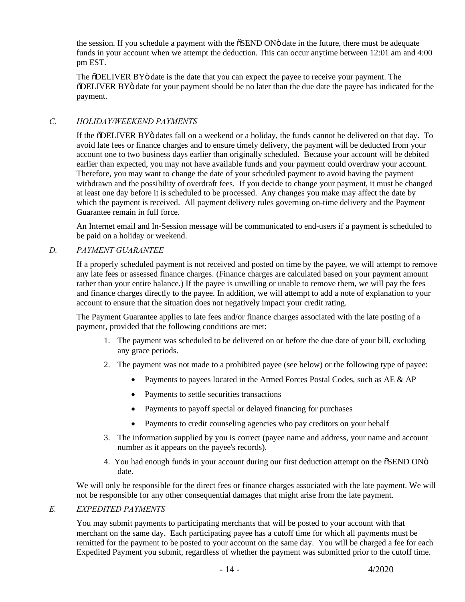the session. If you schedule a payment with the  $\delta$ SEND ON $\ddot{o}$  date in the future, there must be adequate funds in your account when we attempt the deduction. This can occur anytime between 12:01 am and 4:00 pm EST.

The  $\delta$ DELIVER BY $\ddot{o}$  date is the date that you can expect the payee to receive your payment. The "DELIVER BY" date for your payment should be no later than the due date the payee has indicated for the payment.

## *C. HOLIDAY/WEEKEND PAYMENTS*

If the  $\delta$ DELIVER BY $\ddot{o}$  dates fall on a weekend or a holiday, the funds cannot be delivered on that day. To avoid late fees or finance charges and to ensure timely delivery, the payment will be deducted from your account one to two business days earlier than originally scheduled. Because your account will be debited earlier than expected, you may not have available funds and your payment could overdraw your account. Therefore, you may want to change the date of your scheduled payment to avoid having the payment withdrawn and the possibility of overdraft fees. If you decide to change your payment, it must be changed at least one day before it is scheduled to be processed. Any changes you make may affect the date by which the payment is received. All payment delivery rules governing on-time delivery and the Payment Guarantee remain in full force.

An Internet email and In-Session message will be communicated to end-users if a payment is scheduled to be paid on a holiday or weekend.

### *D. PAYMENT GUARANTEE*

If a properly scheduled payment is not received and posted on time by the payee, we will attempt to remove any late fees or assessed finance charges. (Finance charges are calculated based on your payment amount rather than your entire balance.) If the payee is unwilling or unable to remove them, we will pay the fees and finance charges directly to the payee. In addition, we will attempt to add a note of explanation to your account to ensure that the situation does not negatively impact your credit rating.

The Payment Guarantee applies to late fees and/or finance charges associated with the late posting of a payment, provided that the following conditions are met:

- 1. The payment was scheduled to be delivered on or before the due date of your bill, excluding any grace periods.
- 2. The payment was not made to a prohibited payee (see below) or the following type of payee:
	- Payments to payees located in the Armed Forces Postal Codes, such as  $AE \& AP$
	- · Payments to settle securities transactions
	- Payments to payoff special or delayed financing for purchases
	- Payments to credit counseling agencies who pay creditors on your behalf
- 3. The information supplied by you is correct (payee name and address, your name and account number as it appears on the payee's records).
- 4. You had enough funds in your account during our first deduction attempt on the  $\delta$ SEND ON $\ddot{o}$ date.

We will only be responsible for the direct fees or finance charges associated with the late payment. We will not be responsible for any other consequential damages that might arise from the late payment.

#### *E. EXPEDITED PAYMENTS*

You may submit payments to participating merchants that will be posted to your account with that merchant on the same day. Each participating payee has a cutoff time for which all payments must be remitted for the payment to be posted to your account on the same day. You will be charged a fee for each Expedited Payment you submit, regardless of whether the payment was submitted prior to the cutoff time.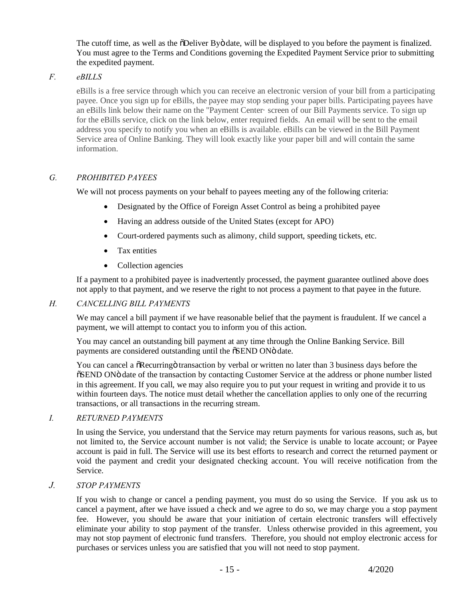The cutoff time, as well as the  $\delta$ Deliver By $\ddot{\text{o}}$  date, will be displayed to you before the payment is finalized. You must agree to the Terms and Conditions governing the Expedited Payment Service prior to submitting the expedited payment.

## *F. eBILLS*

eBills is a free service through which you can receive an electronic version of your bill from a participating payee. Once you sign up for eBills, the payee may stop sending your paper bills. Participating payees have an eBills link below their name on the "Payment Center· screen of our Bill Payments service. To sign up for the eBills service, click on the link below, enter required fields. An email will be sent to the email address you specify to notify you when an eBills is available. eBills can be viewed in the Bill Payment Service area of Online Banking. They will look exactly like your paper bill and will contain the same information.

## *G. PROHIBITED PAYEES*

We will not process payments on your behalf to payees meeting any of the following criteria:

- Designated by the Office of Foreign Asset Control as being a prohibited payee
- · Having an address outside of the United States (except for APO)
- Court-ordered payments such as alimony, child support, speeding tickets, etc.
- · Tax entities
- Collection agencies

If a payment to a prohibited payee is inadvertently processed, the payment guarantee outlined above does not apply to that payment, and we reserve the right to not process a payment to that payee in the future.

### *H. CANCELLING BILL PAYMENTS*

We may cancel a bill payment if we have reasonable belief that the payment is fraudulent. If we cancel a payment, we will attempt to contact you to inform you of this action.

You may cancel an outstanding bill payment at any time through the Online Banking Service. Bill payments are considered outstanding until the  $\delta$ SEND ON $\ddot{o}$  date.

You can cancel a  $\delta$ Recurring o transaction by verbal or written no later than 3 business days before the  $\delta$ SEND ON<sub>0</sub> date of the transaction by contacting Customer Service at the address or phone number listed in this agreement. If you call, we may also require you to put your request in writing and provide it to us within fourteen days. The notice must detail whether the cancellation applies to only one of the recurring transactions, or all transactions in the recurring stream.

### *I. RETURNED PAYMENTS*

In using the Service, you understand that the Service may return payments for various reasons, such as, but not limited to, the Service account number is not valid; the Service is unable to locate account; or Payee account is paid in full. The Service will use its best efforts to research and correct the returned payment or void the payment and credit your designated checking account. You will receive notification from the Service.

### *J. STOP PAYMENTS*

If you wish to change or cancel a pending payment, you must do so using the Service. If you ask us to cancel a payment, after we have issued a check and we agree to do so, we may charge you a stop payment fee. However, you should be aware that your initiation of certain electronic transfers will effectively eliminate your ability to stop payment of the transfer. Unless otherwise provided in this agreement, you may not stop payment of electronic fund transfers. Therefore, you should not employ electronic access for purchases or services unless you are satisfied that you will not need to stop payment.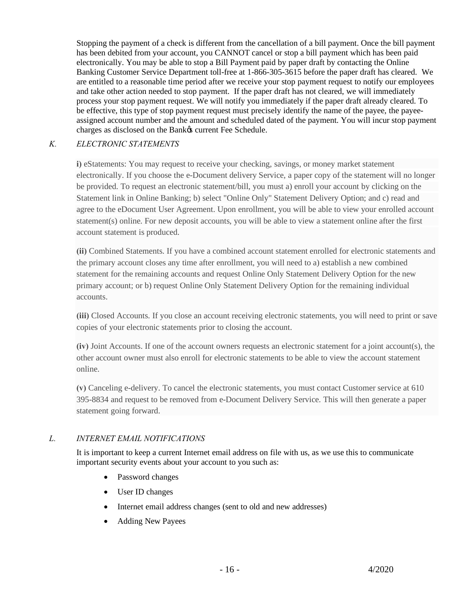Stopping the payment of a check is different from the cancellation of a bill payment. Once the bill payment has been debited from your account, you CANNOT cancel or stop a bill payment which has been paid electronically. You may be able to stop a Bill Payment paid by paper draft by contacting the Online Banking Customer Service Department toll-free at 1-866-305-3615 before the paper draft has cleared. We are entitled to a reasonable time period after we receive your stop payment request to notify our employees and take other action needed to stop payment. If the paper draft has not cleared, we will immediately process your stop payment request. We will notify you immediately if the paper draft already cleared. To be effective, this type of stop payment request must precisely identify the name of the payee, the payeeassigned account number and the amount and scheduled dated of the payment. You will incur stop payment charges as disclosed on the Bank $\alpha$  current Fee Schedule.

## *K. ELECTRONIC STATEMENTS*

**i)** eStatements: You may request to receive your checking, savings, or money market statement electronically. If you choose the e-Document delivery Service, a paper copy of the statement will no longer be provided. To request an electronic statement/bill, you must a) enroll your account by clicking on the Statement link in Online Banking; b) select "Online Only" Statement Delivery Option; and c) read and agree to the eDocument User Agreement. Upon enrollment, you will be able to view your enrolled account statement(s) online. For new deposit accounts, you will be able to view a statement online after the first account statement is produced.

**(ii)** Combined Statements. If you have a combined account statement enrolled for electronic statements and the primary account closes any time after enrollment, you will need to a) establish a new combined statement for the remaining accounts and request Online Only Statement Delivery Option for the new primary account; or b) request Online Only Statement Delivery Option for the remaining individual accounts.

**(iii)** Closed Accounts. If you close an account receiving electronic statements, you will need to print or save copies of your electronic statements prior to closing the account.

**(iv)** Joint Accounts. If one of the account owners requests an electronic statement for a joint account(s), the other account owner must also enroll for electronic statements to be able to view the account statement online.

**(v)** Canceling e-delivery. To cancel the electronic statements, you must contact Customer service at 610 395-8834 and request to be removed from e-Document Delivery Service. This will then generate a paper statement going forward.

## *L. INTERNET EMAIL NOTIFICATIONS*

It is important to keep a current Internet email address on file with us, as we use this to communicate important security events about your account to you such as:

- Password changes
- User ID changes
- · Internet email address changes (sent to old and new addresses)
- Adding New Payees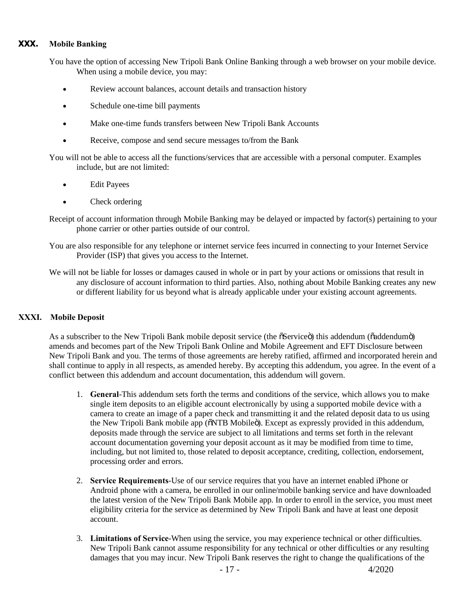## **XXX. Mobile Banking**

You have the option of accessing New Tripoli Bank Online Banking through a web browser on your mobile device. When using a mobile device, you may:

- Review account balances, account details and transaction history
- Schedule one-time bill payments
- · Make one-time funds transfers between New Tripoli Bank Accounts
- Receive, compose and send secure messages to/from the Bank

You will not be able to access all the functions/services that are accessible with a personal computer. Examples include, but are not limited:

- **Edit Payees**
- Check ordering
- Receipt of account information through Mobile Banking may be delayed or impacted by factor(s) pertaining to your phone carrier or other parties outside of our control.
- You are also responsible for any telephone or internet service fees incurred in connecting to your Internet Service Provider (ISP) that gives you access to the Internet.
- We will not be liable for losses or damages caused in whole or in part by your actions or omissions that result in any disclosure of account information to third parties. Also, nothing about Mobile Banking creates any new or different liability for us beyond what is already applicable under your existing account agreements.

### **XXXI. Mobile Deposit**

As a subscriber to the New Tripoli Bank mobile deposit service (the  $\tilde{\sigma}$ Service $\tilde{\sigma}$ ) this addendum ( $\tilde{\sigma}$ addendum $\tilde{\sigma}$ ) amends and becomes part of the New Tripoli Bank Online and Mobile Agreement and EFT Disclosure between New Tripoli Bank and you. The terms of those agreements are hereby ratified, affirmed and incorporated herein and shall continue to apply in all respects, as amended hereby. By accepting this addendum, you agree. In the event of a conflict between this addendum and account documentation, this addendum will govern.

- 1. **General**-This addendum sets forth the terms and conditions of the service, which allows you to make single item deposits to an eligible account electronically by using a supported mobile device with a camera to create an image of a paper check and transmitting it and the related deposit data to us using the New Tripoli Bank mobile app ( $\delta$ NTB Mobileo). Except as expressly provided in this addendum, deposits made through the service are subject to all limitations and terms set forth in the relevant account documentation governing your deposit account as it may be modified from time to time, including, but not limited to, those related to deposit acceptance, crediting, collection, endorsement, processing order and errors.
- 2. **Service Requirements**-Use of our service requires that you have an internet enabled iPhone or Android phone with a camera, be enrolled in our online/mobile banking service and have downloaded the latest version of the New Tripoli Bank Mobile app. In order to enroll in the service, you must meet eligibility criteria for the service as determined by New Tripoli Bank and have at least one deposit account.
- 3. **Limitations of Service**-When using the service, you may experience technical or other difficulties. New Tripoli Bank cannot assume responsibility for any technical or other difficulties or any resulting damages that you may incur. New Tripoli Bank reserves the right to change the qualifications of the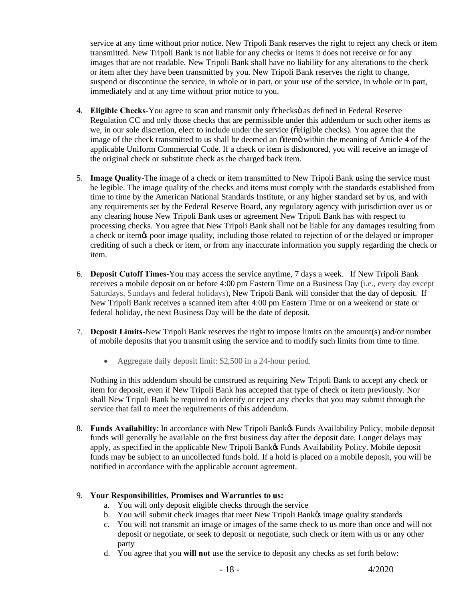service at any time without prior notice. New Tripoli Bank reserves the right to reject any check or item transmitted. New Tripoli Bank is not liable for any checks or items it does not receive or for any images that are not readable. New Tripoli Bank shall have no liability for any alterations to the check or item after they have been transmitted by you. New Tripoli Bank reserves the right to change, suspend or discontinue the service, in whole or in part, or your use of the service, in whole or in part, immediately and at any time without prior notice to you.

- 4. **Eligible Checks**-You agree to scan and transmit only "checks" as defined in Federal Reserve Regulation CC and only those checks that are permissible under this addendum or such other items as we, in our sole discretion, elect to include under the service ( $\tilde{\text{c}}$ eligible checks). You agree that the image of the check transmitted to us shall be deemed an  $\ddot{\text{o}}$  ditem within the meaning of Article 4 of the applicable Uniform Commercial Code. If a check or item is dishonored, you will receive an image of the original check or substitute check as the charged back item.
- 5. **Image Quality**-The image of a check or item transmitted to New Tripoli Bank using the service must be legible. The image quality of the checks and items must comply with the standards established from time to time by the American National Standards Institute, or any higher standard set by us, and with any requirements set by the Federal Reserve Board, any regulatory agency with jurisdiction over us or any clearing house New Tripoli Bank uses or agreement New Tripoli Bank has with respect to processing checks. You agree that New Tripoli Bank shall not be liable for any damages resulting from a check or item's poor image quality, including those related to rejection of or the delayed or improper crediting of such a check or item, or from any inaccurate information you supply regarding the check or item.
- 6. **Deposit Cutoff Times**-You may access the service anytime, 7 days a week. If New Tripoli Bank receives a mobile deposit on or before 4:00 pm Eastern Time on a Business Day (i.e., every day except Saturdays, Sundays and federal holidays), New Tripoli Bank will consider that the day of deposit. If New Tripoli Bank receives a scanned item after 4:00 pm Eastern Time or on a weekend or state or federal holiday, the next Business Day will be the date of deposit.
- 7. **Deposit Limits**-New Tripoli Bank reserves the right to impose limits on the amount(s) and/or number of mobile deposits that you transmit using the service and to modify such limits from time to time.
	- Aggregate daily deposit limit: \$2,500 in a 24-hour period.

Nothing in this addendum should be construed as requiring New Tripoli Bank to accept any check or item for deposit, even if New Tripoli Bank has accepted that type of check or item previously. Nor shall New Tripoli Bank be required to identify or reject any checks that you may submit through the service that fail to meet the requirements of this addendum.

8. **Funds Availability**: In accordance with New Tripoli Bank's Funds Availability Policy, mobile deposit funds will generally be available on the first business day after the deposit date. Longer delays may apply, as specified in the applicable New Tripoli Bank's Funds Availability Policy. Mobile deposit funds may be subject to an uncollected funds hold. If a hold is placed on a mobile deposit, you will be notified in accordance with the applicable account agreement.

### 9. **Your Responsibilities, Promises and Warranties to us:**

- a. You will only deposit eligible checks through the service
- b. You will submit check images that meet New Tripoli Bank& image quality standards
- c. You will not transmit an image or images of the same check to us more than once and will not deposit or negotiate, or seek to deposit or negotiate, such check or item with us or any other party
- d. You agree that you **will not** use the service to deposit any checks as set forth below: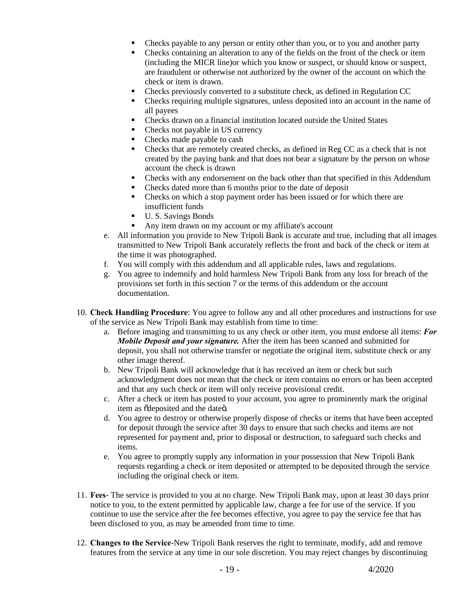- Checks payable to any person or entity other than you, or to you and another party
- Checks containing an alteration to any of the fields on the front of the check or item (including the MICR line)or which you know or suspect, or should know or suspect, are fraudulent or otherwise not authorized by the owner of the account on which the check or item is drawn.
- Checks previously converted to a substitute check, as defined in Regulation CC
- Checks requiring multiple signatures, unless deposited into an account in the name of all payees
- Checks drawn on a financial institution located outside the United States
- Checks not payable in US currency
- Checks made payable to cash
- Checks that are remotely created checks, as defined in Reg CC as a check that is not created by the paying bank and that does not bear a signature by the person on whose account the check is drawn
- Checks with any endorsement on the back other than that specified in this Addendum
- Checks dated more than 6 months prior to the date of deposit
- Checks on which a stop payment order has been issued or for which there are insufficient funds
- U.S. Savings Bonds
- ß Any item drawn on my account or my affiliate's account
- e. All information you provide to New Tripoli Bank is accurate and true, including that all images transmitted to New Tripoli Bank accurately reflects the front and back of the check or item at the time it was photographed.
- f. You will comply with this addendum and all applicable rules, laws and regulations.
- g. You agree to indemnify and hold harmless New Tripoli Bank from any loss for breach of the provisions set forth in this section 7 or the terms of this addendum or the account documentation.
- 10. **Check Handling Procedure**: You agree to follow any and all other procedures and instructions for use of the service as New Tripoli Bank may establish from time to time:
	- a. Before imaging and transmitting to us any check or other item, you must endorse all items: *For Mobile Deposit and your signature.* After the item has been scanned and submitted for deposit, you shall not otherwise transfer or negotiate the original item, substitute check or any other image thereof.
	- b. New Tripoli Bank will acknowledge that it has received an item or check but such acknowledgment does not mean that the check or item contains no errors or has been accepted and that any such check or item will only receive provisional credit.
	- c. After a check or item has posted to your account, you agree to prominently mark the original item as õdeposited and the dateö.
	- d. You agree to destroy or otherwise properly dispose of checks or items that have been accepted for deposit through the service after 30 days to ensure that such checks and items are not represented for payment and, prior to disposal or destruction, to safeguard such checks and items.
	- e. You agree to promptly supply any information in your possession that New Tripoli Bank requests regarding a check or item deposited or attempted to be deposited through the service including the original check or item.
- 11. **Fees** The service is provided to you at no charge. New Tripoli Bank may, upon at least 30 days prior notice to you, to the extent permitted by applicable law, charge a fee for use of the service. If you continue to use the service after the fee becomes effective, you agree to pay the service fee that has been disclosed to you, as may be amended from time to time.
- 12. **Changes to the Service**-New Tripoli Bank reserves the right to terminate, modify, add and remove features from the service at any time in our sole discretion. You may reject changes by discontinuing